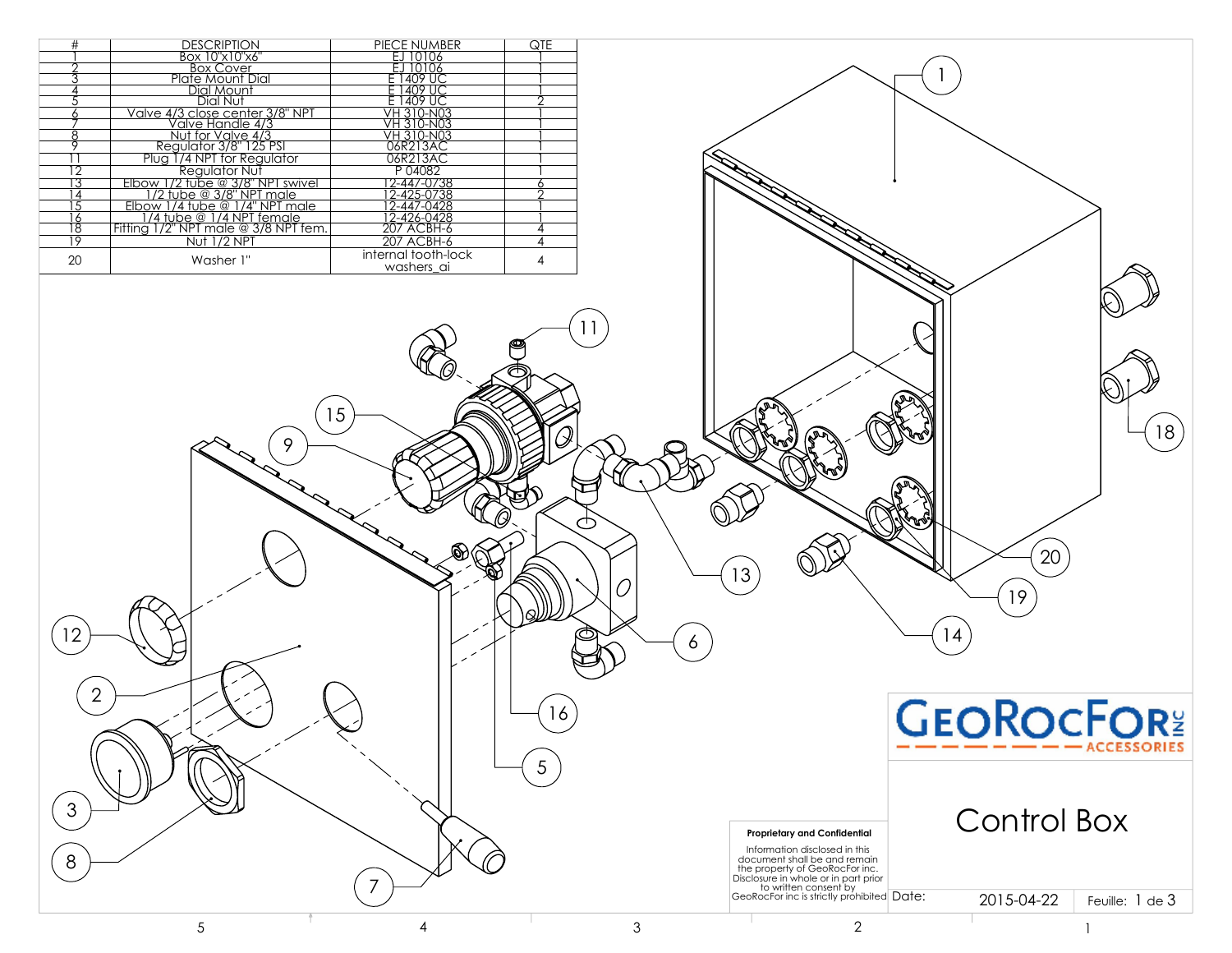